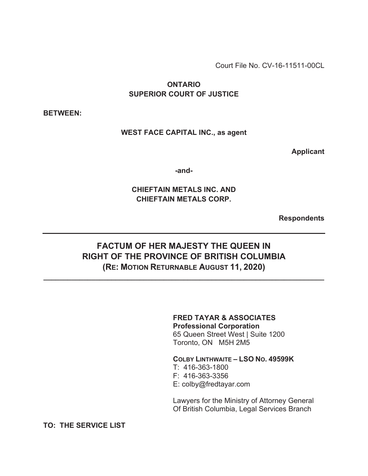Court File No. CV-16-11511-00CL

## **ONTARIO SUPERIOR COURT OF JUSTICE**

**BETWEEN:** 

#### **WEST FACE CAPITAL INC., as agent**

**Applicant** 

**-and-**

### **CHIEFTAIN METALS INC. AND CHIEFTAIN METALS CORP.**

**Respondents** 

# **FACTUM OF HER MAJESTY THE QUEEN IN RIGHT OF THE PROVINCE OF BRITISH COLUMBIA (RE: MOTION RETURNABLE AUGUST 11, 2020)**

**\_\_\_\_\_\_\_\_\_\_\_\_\_\_\_\_\_\_\_\_\_\_\_\_\_\_\_\_\_\_\_\_\_\_\_\_\_\_\_\_\_\_\_\_\_\_\_\_\_\_\_\_\_\_\_\_\_\_\_\_\_\_\_\_\_\_\_\_\_\_** 

**FRED TAYAR & ASSOCIATES**

**Professional Corporation**  65 Queen Street West | Suite 1200 Toronto, ON M5H 2M5

### **COLBY LINTHWAITE – LSO NO. 49599K**

T: 416-363-1800 F: 416-363-3356 E: colby@fredtayar.com

Lawyers for the Ministry of Attorney General Of British Columbia, Legal Services Branch

**TO: THE SERVICE LIST**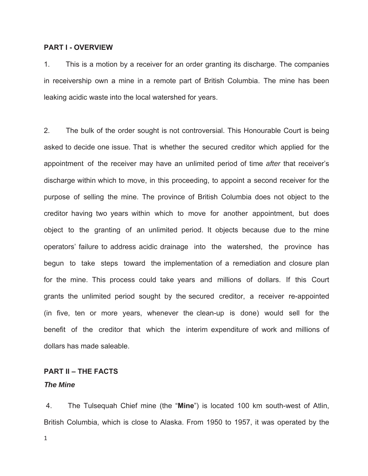#### **PART I - OVERVIEW**

1. This is a motion by a receiver for an order granting its discharge. The companies in receivership own a mine in a remote part of British Columbia. The mine has been leaking acidic waste into the local watershed for years.

2. The bulk of the order sought is not controversial. This Honourable Court is being asked to decide one issue. That is whether the secured creditor which applied for the appointment of the receiver may have an unlimited period of time *after* that receiver's discharge within which to move, in this proceeding, to appoint a second receiver for the purpose of selling the mine. The province of British Columbia does not object to the creditor having two years within which to move for another appointment, but does object to the granting of an unlimited period. It objects because due to the mine operators' failure to address acidic drainage into the watershed, the province has begun to take steps toward the implementation of a remediation and closure plan for the mine. This process could take years and millions of dollars. If this Court grants the unlimited period sought by the secured creditor, a receiver re-appointed (in five, ten or more years, whenever the clean-up is done) would sell for the benefit of the creditor that which the interim expenditure of work and millions of dollars has made saleable.

# **PART II – THE FACTS** *7he Mine*

4. The Tulsequah Chief mine (the "**Mine**") is located 100 km south-west of Atlin, British Columbia, which is close to Alaska. From 1950 to 1957, it was operated by the

1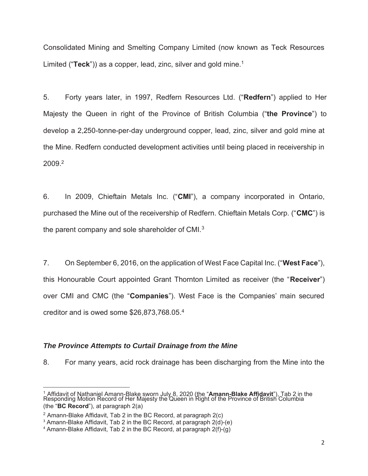Consolidated Mining and Smelting Company Limited (now known as Teck Resources Limited ("**Teck**")) as a copper, lead, zinc, silver and gold mine.<sup>1</sup>

5. Forty years later, in 1997, Redfern Resources Ltd. ("**Redfern**") applied to Her Majesty the Queen in right of the Province of British Columbia ("the **Province**") to develop a 2,250-tonne-per-day underground copper, lead, zinc, silver and gold mine at the Mine. Redfern conducted development activities until being placed in receivership in 2009.2

6. In 2009, Chieftain Metals Inc. ("**CMI**"), a company incorporated in Ontario, purchased the Mine out of the receivership of Redfern. Chieftain Metals Corp. ("**CMC**") is the parent company and sole shareholder of  $CML<sup>3</sup>$ 

7. On September 6, 2016, on the application of West Face Capital Inc. ("**West Face**"), this Honourable Court appointed Grant Thornton Limited as receiver (the "**Receiver**") over CMI and CMC (the "**Companies**"). West Face is the Companies' main secured creditor and is owed some \$26,873,768.05.4

## *The Province Attempts to Curtail Drainage from the Mine*

8. For many years, acid rock drainage has been discharging from the Mine into the

<sup>&</sup>lt;sup>1</sup> Affidavit of Nathaniel Amann-Blake sworn July 8, 2020 (the "**Amann-Blake Affidavit**"), Tab 2 in the<br>Responding Motion Record of Her Majesty the Queen in Right of the Province of British Columbia (the "**BC Record**"), at paragraph 2(a)

 $2$  Amann-Blake Affidavit, Tab 2 in the BC Record, at paragraph  $2(c)$ 

<sup>&</sup>lt;sup>3</sup> Amann-Blake Affidavit, Tab 2 in the BC Record, at paragraph 2(d)-(e)

 $4$  Amann-Blake Affidavit, Tab 2 in the BC Record, at paragraph  $2(f)-(g)$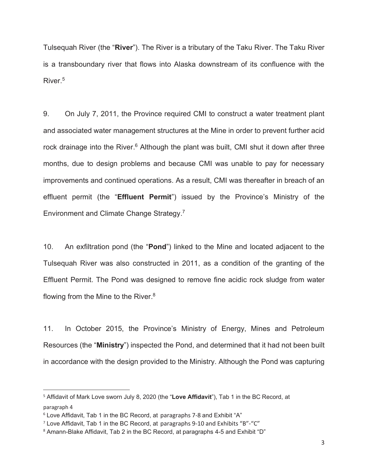Tulsequah River (the "**River**"). The River is a tributary of the Taku River. The Taku River is a transboundary river that flows into Alaska downstream of its confluence with the River.5

9. On July 7, 2011, the Province required CMI to construct a water treatment plant and associated water management structures at the Mine in order to prevent further acid rock drainage into the River.<sup>6</sup> Although the plant was built, CMI shut it down after three months, due to design problems and because CMI was unable to pay for necessary improvements and continued operations. As a result, CMI was thereafter in breach of an effluent permit (the "**Effluent Permit**") issued by the Province's Ministry of the Environment and Climate Change Strategy.7

10. An exfiltration pond (the "**Pond**") linked to the Mine and located adjacent to the Tulsequah River was also constructed in 2011, as a condition of the granting of the Effluent Permit. The Pond was designed to remove fine acidic rock sludge from water flowing from the Mine to the River.<sup>8</sup>

11. In October 2015, the Province's Ministry of Energy, Mines and Petroleum Resources (the "**Ministry**") inspected the Pond, and determined that it had not been built in accordance with the design provided to the Ministry. Although the Pond was capturing

<sup>5</sup> Affidavit of Mark Love sworn July 8, 2020 (the "**Love Affidavit**"), Tab 1 in the BC Record, at paragraph 4

<sup>&</sup>lt;sup>6</sup> Love Affidavit, Tab 1 in the BC Record, at paragraphs 7-8 and Exhibit "A"

<sup>&</sup>lt;sup>7</sup> Love Affidavit, Tab 1 in the BC Record, at paragraphs 9-10 and Exhibits "B"-"C" 8 Amann-Blake Affidavit, Tab 2 in the BC Record, at paragraphs 4-5 and Exhibit "D"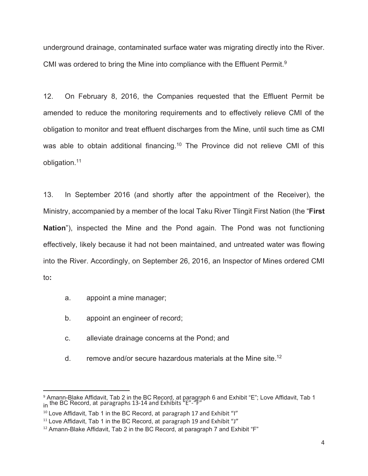underground drainage, contaminated surface water was migrating directly into the River. CMI was ordered to bring the Mine into compliance with the Effluent Permit.<sup>9</sup>

12. On February 8, 2016, the Companies requested that the Effluent Permit be amended to reduce the monitoring requirements and to effectively relieve CMI of the obligation to monitor and treat effluent discharges from the Mine, until such time as CMI was able to obtain additional financing.<sup>10</sup> The Province did not relieve CMI of this obligation.11

13. In September 2016 (and shortly after the appointment of the Receiver), the Ministry, accompanied by a member of the local Taku River Tlingit First Nation (the "**First Nation**"), inspected the Mine and the Pond again. The Pond was not functioning effectively, likely because it had not been maintained, and untreated water was flowing into the River. Accordingly, on September 26, 2016, an Inspector of Mines ordered CMI to**:**

- a. appoint a mine manager;
- b. appoint an engineer of record;
- c. alleviate drainage concerns at the Pond; and
- d. remove and/or secure hazardous materials at the Mine site.<sup>12</sup>

 $^9$  Amann-Blake Affidavit, Tab 2 in the BC Record, at paragraph 6 and Exhibit "E"; Love Affidavit, Tab 1 <sub>in</sub> the BC Record, at paragraphs 13-14 and Exhibits "E"-"F"

<sup>&</sup>lt;sup>10</sup> Love Affidavit, Tab 1 in the BC Record, at paragraph 17 and Exhibit "I"

<sup>&</sup>lt;sup>11</sup> Love Affidavit, Tab 1 in the BC Record, at paragraph 19 and Exhibit "J"

 $12$  Amann-Blake Affidavit, Tab 2 in the BC Record, at paragraph 7 and Exhibit "F"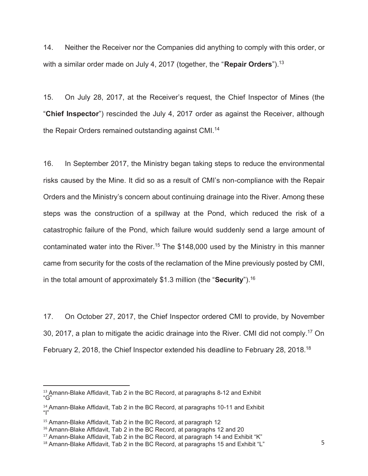14. Neither the Receiver nor the Companies did anything to comply with this order, or with a similar order made on July 4, 2017 (together, the "**Repair Orders**").<sup>13</sup>

15. On July 28, 2017, at the Receiver's request, the Chief Inspector of Mines (the "**Chief Inspector**") rescinded the July 4, 2017 order as against the Receiver, although the Repair Orders remained outstanding against CMI.14

16. In September 2017, the Ministry began taking steps to reduce the environmental risks caused by the Mine. It did so as a result of CMI's non-compliance with the Repair Orders and the Ministry's concern about continuing drainage into the River. Among these steps was the construction of a spillway at the Pond, which reduced the risk of a catastrophic failure of the Pond, which failure would suddenly send a large amount of contaminated water into the River.<sup>15</sup> The \$148,000 used by the Ministry in this manner came from security for the costs of the reclamation of the Mine previously posted by CMI, in the total amount of approximately \$1.3 million (the "**Security**").<sup>16</sup>

17. On October 27, 2017, the Chief Inspector ordered CMI to provide, by November 30, 2017, a plan to mitigate the acidic drainage into the River. CMI did not comply.17 On February 2, 2018, the Chief Inspector extended his deadline to February 28, 2018.18

<sup>13</sup> Amann-Blake Affidavit, Tab 2 in the BC Record, at paragraphs 8-12 and Exhibit "G"

 $^{14}_{\ldots}$  Amann-Blake Affidavit, Tab 2 in the BC Record, at paragraphs 10-11 and Exhibit "I"

<sup>&</sup>lt;sup>15</sup> Amann-Blake Affidavit, Tab 2 in the BC Record, at paragraph 12

<sup>&</sup>lt;sup>16</sup> Amann-Blake Affidavit, Tab 2 in the BC Record, at paragraphs 12 and 20

 $17$  Amann-Blake Affidavit, Tab 2 in the BC Record, at paragraph 14 and Exhibit "K"

<sup>&</sup>lt;sup>18</sup> Amann-Blake Affidavit. Tab 2 in the BC Record, at paragraphs 15 and Exhibit "L"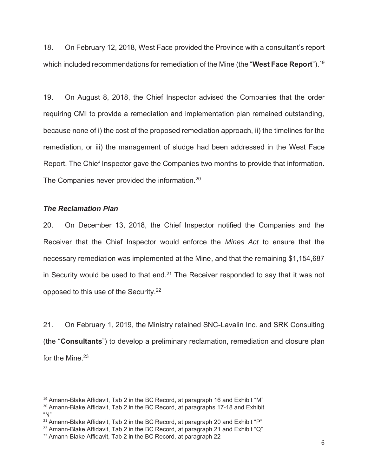18. On February 12, 2018, West Face provided the Province with a consultant's report which included recommendations for remediation of the Mine (the "**West Face Report**").<sup>19</sup>

19. On August 8, 2018, the Chief Inspector advised the Companies that the order requiring CMI to provide a remediation and implementation plan remained outstanding, because none of i) the cost of the proposed remediation approach, ii) the timelines for the remediation, or iii) the management of sludge had been addressed in the West Face Report. The Chief Inspector gave the Companies two months to provide that information. The Companies never provided the information.<sup>20</sup>

#### *The Reclamation Plan*

20. On December 13, 2018, the Chief Inspector notified the Companies and the Receiver that the Chief Inspector would enforce the *Mines Act* to ensure that the necessary remediation was implemented at the Mine, and that the remaining \$1,154,687 in Security would be used to that end. $21$  The Receiver responded to say that it was not opposed to this use of the Security.22

21. On February 1, 2019, the Ministry retained SNC-Lavalin Inc. and SRK Consulting (the "**Consultants**") to develop a preliminary reclamation, remediation and closure plan for the Mine.<sup>23</sup>

<sup>&</sup>lt;sup>19</sup> Amann-Blake Affidavit, Tab 2 in the BC Record, at paragraph 16 and Exhibit "M" <sup>20</sup> Amann-Blake Affidavit, Tab 2 in the BC Record, at paragraphs 17-18 and Exhibit "N"

 $21$  Amann-Blake Affidavit, Tab 2 in the BC Record, at paragraph 20 and Exhibit "P"

<sup>&</sup>lt;sup>22</sup> Amann-Blake Affidavit, Tab 2 in the BC Record, at paragraph 21 and Exhibit "Q"

<sup>&</sup>lt;sup>23</sup> Amann-Blake Affidavit, Tab 2 in the BC Record, at paragraph 22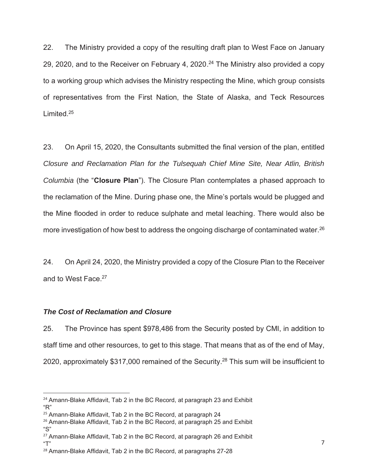22. The Ministry provided a copy of the resulting draft plan to West Face on January 29, 2020, and to the Receiver on February 4, 2020.<sup>24</sup> The Ministry also provided a copy to a working group which advises the Ministry respecting the Mine, which group consists of representatives from the First Nation, the State of Alaska, and Teck Resources I imited  $^{25}$ 

23. On April 15, 2020, the Consultants submitted the final version of the plan, entitled *Closure and Reclamation Plan for the Tulsequah Chief Mine Site, Near Atlin, British Columbia* (the "**Closure Plan**"). The Closure Plan contemplates a phased approach to the reclamation of the Mine. During phase one, the Mine's portals would be plugged and the Mine flooded in order to reduce sulphate and metal leaching. There would also be more investigation of how best to address the ongoing discharge of contaminated water.<sup>26</sup>

24. On April 24, 2020, the Ministry provided a copy of the Closure Plan to the Receiver and to West Face.27

#### *The Cost of Reclamation and Closure*

25. The Province has spent \$978,486 from the Security posted by CMI, in addition to staff time and other resources, to get to this stage. That means that as of the end of May, 2020, approximately \$317,000 remained of the Security.<sup>28</sup> This sum will be insufficient to

<sup>&</sup>lt;sup>24</sup> Amann-Blake Affidavit, Tab 2 in the BC Record, at paragraph 23 and Exhibit "R"

<sup>&</sup>lt;sup>25</sup> Amann-Blake Affidavit, Tab 2 in the BC Record, at paragraph 24

 $26$  Amann-Blake Affidavit, Tab 2 in the BC Record, at paragraph 25 and Exhibit "S"

 $27$  Amann-Blake Affidavit, Tab 2 in the BC Record, at paragraph 26 and Exhibit

<sup>&</sup>quot;T"

<sup>&</sup>lt;sup>28</sup> Amann-Blake Affidavit, Tab 2 in the BC Record, at paragraphs 27-28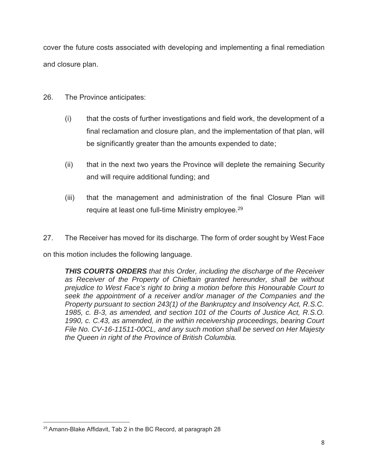cover the future costs associated with developing and implementing a final remediation and closure plan.

- 26. The Province anticipates:
	- (i) that the costs of further investigations and field work, the development of a final reclamation and closure plan, and the implementation of that plan, will be significantly greater than the amounts expended to date;
	- (ii) that in the next two years the Province will deplete the remaining Security and will require additional funding; and
	- (iii) that the management and administration of the final Closure Plan will require at least one full-time Ministry employee.<sup>29</sup>
- 27. The Receiver has moved for its discharge. The form of order sought by West Face

on this motion includes the following language.

*THIS COURTS ORDERS that this Order, including the discharge of the Receiver*  as Receiver of the Property of Chieftain granted hereunder, shall be without *prejudice to West Face's right to bring a motion before this Honourable Court to seek the appointment of a receiver and/or manager of the Companies and the Property pursuant to section 243(1) of the Bankruptcy and Insolvency Act, R.S.C. 1985, c. B-3, as amended, and section 101 of the Courts of Justice Act, R.S.O. 1990, c. C.43, as amended, in the within receivership proceedings, bearing Court File No. CV-16-11511-00CL, and any such motion shall be served on Her Majesty the Queen in right of the Province of British Columbia.*

<sup>&</sup>lt;sup>29</sup> Amann-Blake Affidavit, Tab 2 in the BC Record, at paragraph 28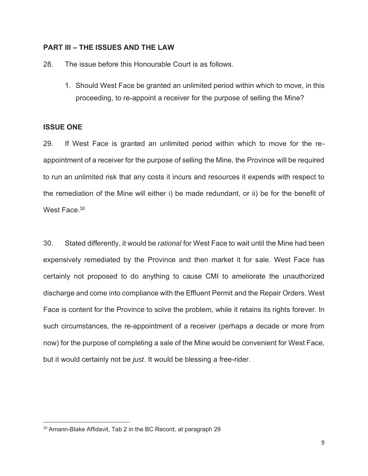#### **PART III – THE ISSUES AND THE LAW**

28. The issue before this Honourable Court is as follows.

1. Should West Face be granted an unlimited period within which to move, in this proceeding, to re-appoint a receiver for the purpose of selling the Mine?

#### **ISSUE ONE**

29. If West Face is granted an unlimited period within which to move for the reappointment of a receiver for the purpose of selling the Mine, the Province will be required to run an unlimited risk that any costs it incurs and resources it expends with respect to the remediation of the Mine will either i) be made redundant, or ii) be for the benefit of West Face 30

30. Stated differently, it would be *rational* for West Face to wait until the Mine had been expensively remediated by the Province and then market it for sale. West Face has certainly not proposed to do anything to cause CMI to ameliorate the unauthorized discharge and come into compliance with the Effluent Permit and the Repair Orders. West Face is content for the Province to solve the problem, while it retains its rights forever. In such circumstances, the re-appointment of a receiver (perhaps a decade or more from now) for the purpose of completing a sale of the Mine would be convenient for West Face, but it would certainly not be *just*. It would be blessing a free-rider.

<sup>&</sup>lt;sup>30</sup> Amann-Blake Affidavit, Tab 2 in the BC Record, at paragraph 29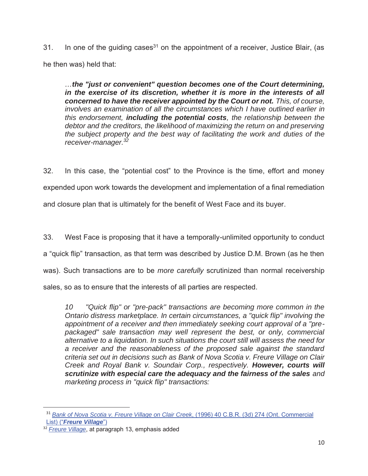31. In one of the quiding cases<sup>31</sup> on the appointment of a receiver, Justice Blair, (as he then was) held that:

*…the "just or convenient" question becomes one of the Court determining, in the exercise of its discretion, whether it is more in the interests of all concerned to have the receiver appointed by the Court or not. This, of course, involves an examination of all the circumstances which I have outlined earlier in this endorsement, including the potential costs, the relationship between the debtor and the creditors, the likelihood of maximizing the return on and preserving the subject property and the best way of facilitating the work and duties of the receiver-manager.32*

32. In this case, the "potential cost" to the Province is the time, effort and money expended upon work towards the development and implementation of a final remediation and closure plan that is ultimately for the benefit of West Face and its buyer.

33. West Face is proposing that it have a temporally-unlimited opportunity to conduct

a "quick flip" transaction, as that term was described by Justice D.M. Brown (as he then

was). Such transactions are to be *more carefully* scrutinized than normal receivership

sales, so as to ensure that the interests of all parties are respected.

*10 "Quick flip" or "pre-pack" transactions are becoming more common in the Ontario distress marketplace. In certain circumstances, a "quick flip" involving the appointment of a receiver and then immediately seeking court approval of a "prepackaged" sale transaction may well represent the best, or only, commercial alternative to a liquidation. In such situations the court still will assess the need for a receiver and the reasonableness of the proposed sale against the standard criteria set out in decisions such as Bank of Nova Scotia v. Freure Village on Clair Creek and Royal Bank v. Soundair Corp., respectively. However, courts will scrutinize with especial care the adequacy and the fairness of the sales and marketing process in "quick flip" transactions:* 

<sup>31</sup> *Bank of Nova Scotia v. Freure Village on Clair Creek*, (1996) 40 C.B.R. (3d) 274 (Ont. Commercial List) ("*Freure Village*")

<sup>32</sup> *Freure Village*, at paragraph 13, emphasis added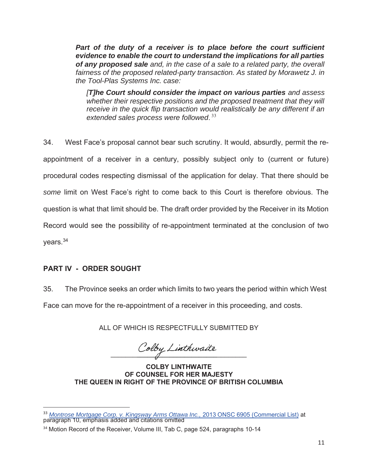Part of the duty of a receiver is to place before the court sufficient *evidence to enable the court to understand the implications for all parties of any proposed sale and, in the case of a sale to a related party, the overall*  fairness of the proposed related-party transaction. As stated by Morawetz J. in *the Tool-Plas Systems Inc. case:* 

*[T]he Court should consider the impact on various parties and assess whether their respective positions and the proposed treatment that they will receive in the quick flip transaction would realistically be any different if an extended sales process were followed*. <sup>33</sup>

34. West Face's proposal cannot bear such scrutiny. It would, absurdly, permit the reappointment of a receiver in a century, possibly subject only to (current or future) procedural codes respecting dismissal of the application for delay. That there should be *some* limit on West Face's right to come back to this Court is therefore obvious. The question is what that limit should be. The draft order provided by the Receiver in its Motion Record would see the possibility of re-appointment terminated at the conclusion of two years.34

## **PART IV - ORDER SOUGHT**

35. The Province seeks an order which limits to two years the period within which West Face can move for the re-appointment of a receiver in this proceeding, and costs.

ALL OF WHICH IS RESPECTFULLY SUBMITTED BY

 $\int$ 

**COLBY LINTHWAITE OF COUNSEL FOR HER MAJESTY THE QUEEN IN RIGHT OF THE PROVINCE OF BRITISH COLUMBIA** 

<sup>33</sup> *Montrose Mortgage Corp. v. Kingsway Arms Ottawa Inc.,* 2013 ONSC 6905 (Commercial List) at paragraph 10, emphasis added and citations omitted

<sup>&</sup>lt;sup>34</sup> Motion Record of the Receiver, Volume III, Tab C, page 524, paragraphs 10-14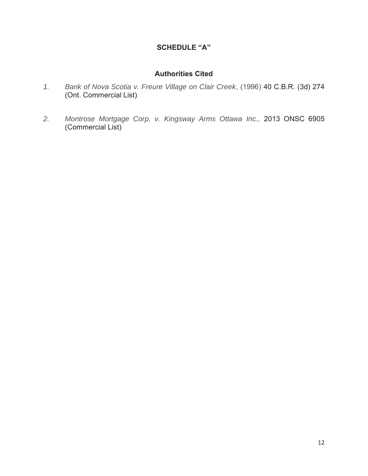# **SCHEDULE "A"**

## **Authorities Cited**

- *1. Bank of Nova Scotia v. Freure Village on Clair Creek*, (1996) 40 C.B.R. (3d) 274 (Ont. Commercial List)
- *2. Montrose Mortgage Corp. v. Kingsway Arms Ottawa Inc.,* 2013 ONSC 6905 (Commercial List)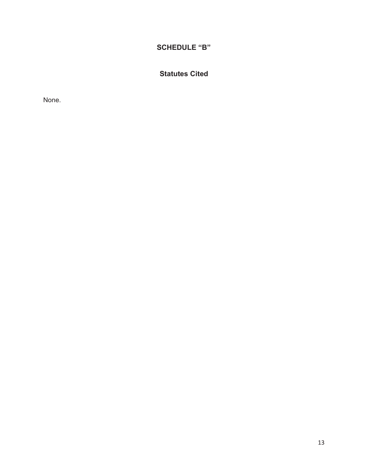# **SCHEDULE "B"**

# **Statutes Cited**

None.